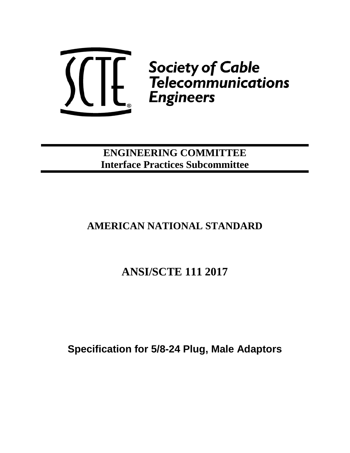

**ENGINEERING COMMITTEE Interface Practices Subcommittee**

# **AMERICAN NATIONAL STANDARD**

# **ANSI/SCTE 111 2017**

**Specification for 5/8-24 Plug, Male Adaptors**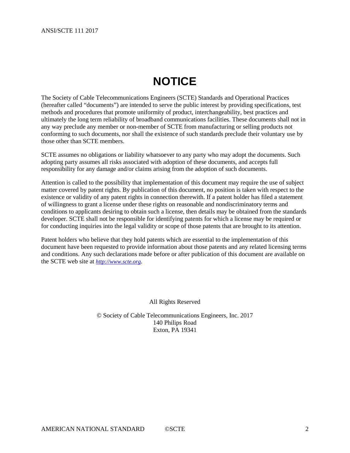# **NOTICE**

<span id="page-1-0"></span>The Society of Cable Telecommunications Engineers (SCTE) Standards and Operational Practices (hereafter called "documents") are intended to serve the public interest by providing specifications, test methods and procedures that promote uniformity of product, interchangeability, best practices and ultimately the long term reliability of broadband communications facilities. These documents shall not in any way preclude any member or non-member of SCTE from manufacturing or selling products not conforming to such documents, nor shall the existence of such standards preclude their voluntary use by those other than SCTE members.

SCTE assumes no obligations or liability whatsoever to any party who may adopt the documents. Such adopting party assumes all risks associated with adoption of these documents, and accepts full responsibility for any damage and/or claims arising from the adoption of such documents.

Attention is called to the possibility that implementation of this document may require the use of subject matter covered by patent rights. By publication of this document, no position is taken with respect to the existence or validity of any patent rights in connection therewith. If a patent holder has filed a statement of willingness to grant a license under these rights on reasonable and nondiscriminatory terms and conditions to applicants desiring to obtain such a license, then details may be obtained from the standards developer. SCTE shall not be responsible for identifying patents for which a license may be required or for conducting inquiries into the legal validity or scope of those patents that are brought to its attention.

Patent holders who believe that they hold patents which are essential to the implementation of this document have been requested to provide information about those patents and any related licensing terms and conditions. Any such declarations made before or after publication of this document are available on the SCTE web site at *[http://www.scte.org](http://www.scte.org/)*.

All Rights Reserved

© Society of Cable Telecommunications Engineers, Inc. 2017 140 Philips Road Exton, PA 19341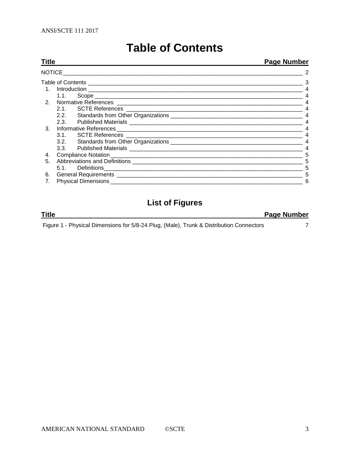| <b>Table of Contents</b> |
|--------------------------|
|--------------------------|

#### <span id="page-2-0"></span>**Title Page Number** [NOTICE\\_\\_\\_\\_\\_\\_\\_\\_\\_\\_\\_\\_\\_\\_\\_\\_\\_\\_\\_\\_\\_\\_\\_\\_\\_\\_\\_\\_\\_\\_\\_\\_\\_\\_\\_\\_\\_\\_\\_\\_\\_\\_\\_\\_\\_\\_\\_\\_\\_\\_\\_\\_\\_\\_\\_\\_\\_\\_\\_\\_\\_\\_\\_\\_\\_\\_\\_\\_\\_\\_\\_\\_\\_\\_\\_\\_](#page-1-0) 2 Table of Contents [\\_\\_\\_\\_\\_\\_\\_\\_\\_\\_\\_\\_\\_\\_\\_\\_\\_\\_\\_\\_\\_\\_\\_\\_\\_\\_\\_\\_\\_\\_\\_\\_\\_\\_\\_\\_\\_\\_\\_\\_\\_\\_\\_\\_\\_\\_\\_\\_\\_\\_\\_\\_\\_\\_\\_\\_\\_\\_\\_\\_\\_\\_\\_\\_\\_\\_\\_\\_](#page-2-0) 3 1. Introduction [\\_\\_\\_\\_\\_\\_\\_\\_\\_\\_\\_\\_\\_\\_\\_\\_\\_\\_\\_\\_\\_\\_\\_\\_\\_\\_\\_\\_\\_\\_\\_\\_\\_\\_\\_\\_\\_\\_\\_\\_\\_\\_\\_\\_\\_\\_\\_\\_\\_\\_\\_\\_\\_\\_\\_\\_\\_\\_\\_\\_\\_\\_\\_\\_\\_\\_\\_\\_](#page-2-1) 4 1.1. Scope [\\_\\_\\_\\_\\_\\_\\_\\_\\_\\_\\_\\_\\_\\_\\_\\_\\_\\_\\_\\_\\_\\_\\_\\_\\_\\_\\_\\_\\_\\_\\_\\_\\_\\_\\_\\_\\_\\_\\_\\_\\_\\_\\_\\_\\_\\_\\_\\_\\_\\_\\_\\_\\_\\_\\_\\_\\_\\_\\_\\_\\_\\_\\_\\_\\_\\_](#page-3-0) 4 2. Normative References [\\_\\_\\_\\_\\_\\_\\_\\_\\_\\_\\_\\_\\_\\_\\_\\_\\_\\_\\_\\_\\_\\_\\_\\_\\_\\_\\_\\_\\_\\_\\_\\_\\_\\_\\_\\_\\_\\_\\_\\_\\_\\_\\_\\_\\_\\_\\_\\_\\_\\_\\_\\_\\_\\_\\_\\_\\_\\_\\_](#page-3-1) 4 2.1. SCTE References [\\_\\_\\_\\_\\_\\_\\_\\_\\_\\_\\_\\_\\_\\_\\_\\_\\_\\_\\_\\_\\_\\_\\_\\_\\_\\_\\_\\_\\_\\_\\_\\_\\_\\_\\_\\_\\_\\_\\_\\_\\_\\_\\_\\_\\_\\_\\_\\_\\_\\_\\_\\_\\_\\_\\_\\_](#page-3-2) 4 2.2. Standards from Other Organizations [\\_\\_\\_\\_\\_\\_\\_\\_\\_\\_\\_\\_\\_\\_\\_\\_\\_\\_\\_\\_\\_\\_\\_\\_\\_\\_\\_\\_\\_\\_\\_\\_\\_\\_\\_\\_\\_\\_\\_\\_\\_\\_](#page-3-3) 4 2.3. Published Materials [\\_\\_\\_\\_\\_\\_\\_\\_\\_\\_\\_\\_\\_\\_\\_\\_\\_\\_\\_\\_\\_\\_\\_\\_\\_\\_\\_\\_\\_\\_\\_\\_\\_\\_\\_\\_\\_\\_\\_\\_\\_\\_\\_\\_\\_\\_\\_\\_\\_\\_\\_\\_\\_\\_\\_](#page-3-4) 4 3. Informative References [\\_\\_\\_\\_\\_\\_\\_\\_\\_\\_\\_\\_\\_\\_\\_\\_\\_\\_\\_\\_\\_\\_\\_\\_\\_\\_\\_\\_\\_\\_\\_\\_\\_\\_\\_\\_\\_\\_\\_\\_\\_\\_\\_\\_\\_\\_\\_\\_\\_\\_\\_\\_\\_\\_\\_\\_\\_\\_\\_](#page-3-5) 4 3.1. SCTE References [\\_\\_\\_\\_\\_\\_\\_\\_\\_\\_\\_\\_\\_\\_\\_\\_\\_\\_\\_\\_\\_\\_\\_\\_\\_\\_\\_\\_\\_\\_\\_\\_\\_\\_\\_\\_\\_\\_\\_\\_\\_\\_\\_\\_\\_\\_\\_\\_\\_\\_\\_\\_\\_\\_\\_\\_](#page-3-6) 4 3.2. Standards from Other Organizations [\\_\\_\\_\\_\\_\\_\\_\\_\\_\\_\\_\\_\\_\\_\\_\\_\\_\\_\\_\\_\\_\\_\\_\\_\\_\\_\\_\\_\\_\\_\\_\\_\\_\\_\\_\\_\\_\\_\\_\\_\\_\\_](#page-3-7) 4 3.3. Published Materials [\\_\\_\\_\\_\\_\\_\\_\\_\\_\\_\\_\\_\\_\\_\\_\\_\\_\\_\\_\\_\\_\\_\\_\\_\\_\\_\\_\\_\\_\\_\\_\\_\\_\\_\\_\\_\\_\\_\\_\\_\\_\\_\\_\\_\\_\\_\\_\\_\\_\\_\\_\\_\\_\\_\\_](#page-3-8) 4 4. [Compliance Notation\\_\\_\\_\\_\\_\\_\\_\\_\\_\\_\\_\\_\\_\\_\\_\\_\\_\\_\\_\\_\\_\\_\\_\\_\\_\\_\\_\\_\\_\\_\\_\\_\\_\\_\\_\\_\\_\\_\\_\\_\\_\\_\\_\\_\\_\\_\\_\\_\\_\\_\\_\\_\\_\\_\\_\\_\\_\\_\\_\\_\\_](#page-4-0) 5 5. Abbreviations and Definitions [\\_\\_\\_\\_\\_\\_\\_\\_\\_\\_\\_\\_\\_\\_\\_\\_\\_\\_\\_\\_\\_\\_\\_\\_\\_\\_\\_\\_\\_\\_\\_\\_\\_\\_\\_\\_\\_\\_\\_\\_\\_\\_\\_\\_\\_\\_\\_\\_\\_\\_\\_\\_\\_\\_](#page-4-1) 5 5.1. [Definitions\\_\\_\\_\\_\\_\\_\\_\\_\\_\\_\\_\\_\\_\\_\\_\\_\\_\\_\\_\\_\\_\\_\\_\\_\\_\\_\\_\\_\\_\\_\\_\\_\\_\\_\\_\\_\\_\\_\\_\\_\\_\\_\\_\\_\\_\\_\\_\\_\\_\\_\\_\\_\\_\\_\\_\\_\\_\\_\\_\\_\\_\\_\\_](#page-4-2) 5 6. General Requirements [\\_\\_\\_\\_\\_\\_\\_\\_\\_\\_\\_\\_\\_\\_\\_\\_\\_\\_\\_\\_\\_\\_\\_\\_\\_\\_\\_\\_\\_\\_\\_\\_\\_\\_\\_\\_\\_\\_\\_\\_\\_\\_\\_\\_\\_\\_\\_\\_\\_\\_\\_\\_\\_\\_\\_\\_\\_\\_\\_](#page-4-3) 5 7. Physical Dimensions [\\_\\_\\_\\_\\_\\_\\_\\_\\_\\_\\_\\_\\_\\_\\_\\_\\_\\_\\_\\_\\_\\_\\_\\_\\_\\_\\_\\_\\_\\_\\_\\_\\_\\_\\_\\_\\_\\_\\_\\_\\_\\_\\_\\_\\_\\_\\_\\_\\_\\_\\_\\_\\_\\_\\_\\_\\_\\_\\_\\_\\_](#page-5-0) 6

## **List of Figures**

**Title Page Number** Figure 1 - [Physical Dimensions for 5/8-24 Plug, \(Male\), Trunk & Distribution Connectors](#page-6-0) 7

<span id="page-2-1"></span>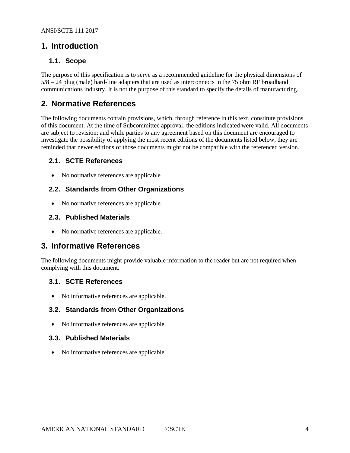### **1. Introduction**

#### <span id="page-3-0"></span>**1.1. Scope**

The purpose of this specification is to serve as a recommended guideline for the physical dimensions of 5/8 – 24 plug (male) hard-line adapters that are used as interconnects in the 75 ohm RF broadband communications industry. It is not the purpose of this standard to specify the details of manufacturing.

## <span id="page-3-1"></span>**2. Normative References**

The following documents contain provisions, which, through reference in this text, constitute provisions of this document. At the time of Subcommittee approval, the editions indicated were valid. All documents are subject to revision; and while parties to any agreement based on this document are encouraged to investigate the possibility of applying the most recent editions of the documents listed below, they are reminded that newer editions of those documents might not be compatible with the referenced version.

#### <span id="page-3-2"></span>**2.1. SCTE References**

• No normative references are applicable.

#### <span id="page-3-3"></span>**2.2. Standards from Other Organizations**

• No normative references are applicable.

#### <span id="page-3-4"></span>**2.3. Published Materials**

• No normative references are applicable.

### <span id="page-3-5"></span>**3. Informative References**

The following documents might provide valuable information to the reader but are not required when complying with this document.

#### <span id="page-3-6"></span>**3.1. SCTE References**

• No informative references are applicable.

#### <span id="page-3-7"></span>**3.2. Standards from Other Organizations**

• No informative references are applicable.

#### <span id="page-3-8"></span>**3.3. Published Materials**

• No informative references are applicable.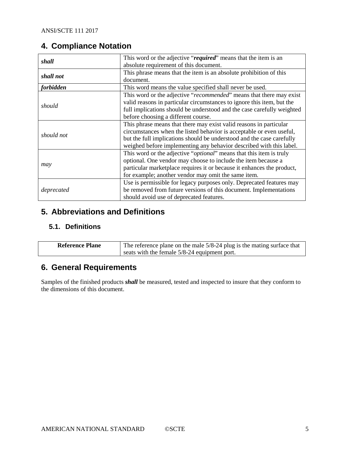# <span id="page-4-0"></span>**4. Compliance Notation**

| shall      | This word or the adjective "required" means that the item is an              |  |  |  |  |  |
|------------|------------------------------------------------------------------------------|--|--|--|--|--|
|            | absolute requirement of this document.                                       |  |  |  |  |  |
| shall not  | This phrase means that the item is an absolute prohibition of this           |  |  |  |  |  |
|            | document.                                                                    |  |  |  |  |  |
| forbidden  | This word means the value specified shall never be used.                     |  |  |  |  |  |
|            | This word or the adjective "recommended" means that there may exist          |  |  |  |  |  |
|            | valid reasons in particular circumstances to ignore this item, but the       |  |  |  |  |  |
| should     | full implications should be understood and the case carefully weighted       |  |  |  |  |  |
|            | before choosing a different course.                                          |  |  |  |  |  |
|            | This phrase means that there may exist valid reasons in particular           |  |  |  |  |  |
| should not | circumstances when the listed behavior is acceptable or even useful,         |  |  |  |  |  |
|            | but the full implications should be understood and the case carefully        |  |  |  |  |  |
|            | weighed before implementing any behavior described with this label.          |  |  |  |  |  |
|            | This word or the adjective " <i>optional</i> " means that this item is truly |  |  |  |  |  |
|            | optional. One vendor may choose to include the item because a                |  |  |  |  |  |
| may        | particular marketplace requires it or because it enhances the product,       |  |  |  |  |  |
|            | for example; another vendor may omit the same item.                          |  |  |  |  |  |
|            | Use is permissible for legacy purposes only. Deprecated features may         |  |  |  |  |  |
| deprecated | be removed from future versions of this document. Implementations            |  |  |  |  |  |
|            | should avoid use of deprecated features.                                     |  |  |  |  |  |

## <span id="page-4-1"></span>**5. Abbreviations and Definitions**

### <span id="page-4-2"></span>**5.1. Definitions**

| <b>Reference Plane</b> | The reference plane on the male 5/8-24 plug is the mating surface that |  |  |  |
|------------------------|------------------------------------------------------------------------|--|--|--|
|                        | seats with the female 5/8-24 equipment port.                           |  |  |  |

# <span id="page-4-3"></span>**6. General Requirements**

Samples of the finished products *shall* be measured, tested and inspected to insure that they conform to the dimensions of this document.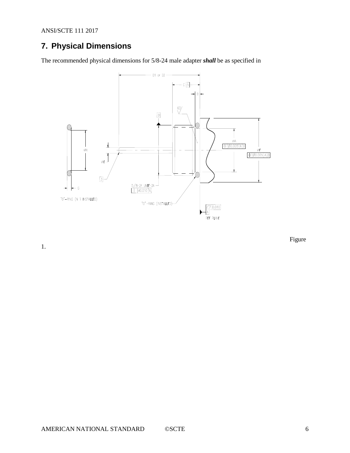ANSI/SCTE 111 2017

# <span id="page-5-0"></span>**7. Physical Dimensions**

The recommended physical dimensions for 5/8-24 male adapter *shall* be as specified in



[Figure](#page-6-0) 

[1.](#page-6-0)